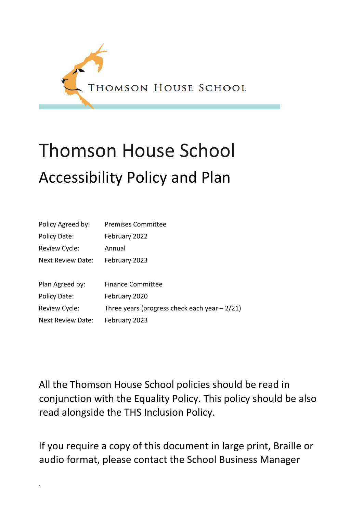

# Thomson House School Accessibility Policy and Plan

| Policy Agreed by:        | <b>Premises Committee</b>                       |
|--------------------------|-------------------------------------------------|
| Policy Date:             | February 2022                                   |
| Review Cycle:            | Annual                                          |
| Next Review Date:        | February 2023                                   |
|                          |                                                 |
| Plan Agreed by:          | <b>Finance Committee</b>                        |
| Policy Date:             | February 2020                                   |
| Review Cycle:            | Three years (progress check each year $-2/21$ ) |
| <b>Next Review Date:</b> | February 2023                                   |

All the Thomson House School policies should be read in conjunction with the Equality Policy. This policy should be also read alongside the THS Inclusion Policy.

If you require a copy of this document in large print, Braille or audio format, please contact the School Business Manager

`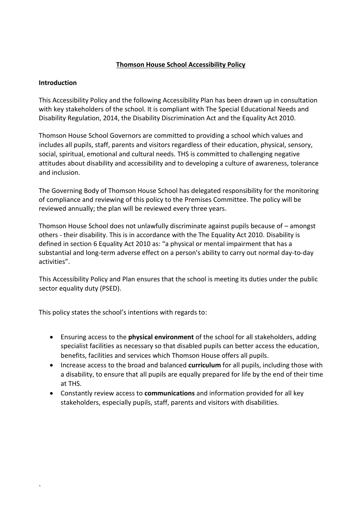## **Thomson House School Accessibility Policy**

## **Introduction**

`

This Accessibility Policy and the following Accessibility Plan has been drawn up in consultation with key stakeholders of the school. It is compliant with The Special Educational Needs and Disability Regulation, 2014, the Disability Discrimination Act and the Equality Act 2010.

Thomson House School Governors are committed to providing a school which values and includes all pupils, staff, parents and visitors regardless of their education, physical, sensory, social, spiritual, emotional and cultural needs. THS is committed to challenging negative attitudes about disability and accessibility and to developing a culture of awareness, tolerance and inclusion.

The Governing Body of Thomson House School has delegated responsibility for the monitoring of compliance and reviewing of this policy to the Premises Committee. The policy will be reviewed annually; the plan will be reviewed every three years.

Thomson House School does not unlawfully discriminate against pupils because of – amongst others - their disability. This is in accordance with the The Equality Act 2010. Disability is defined in section 6 Equality Act 2010 as: "a physical or mental impairment that has a substantial and long-term adverse effect on a person's ability to carry out normal day-to-day activities".

This Accessibility Policy and Plan ensures that the school is meeting its duties under the public sector equality duty (PSED).

This policy states the school's intentions with regards to:

- Ensuring access to the **physical environment** of the school for all stakeholders, adding specialist facilities as necessary so that disabled pupils can better access the education, benefits, facilities and services which Thomson House offers all pupils.
- Increase access to the broad and balanced **curriculum** for all pupils, including those with a disability, to ensure that all pupils are equally prepared for life by the end of their time at THS.
- Constantly review access to **communications** and information provided for all key stakeholders, especially pupils, staff, parents and visitors with disabilities.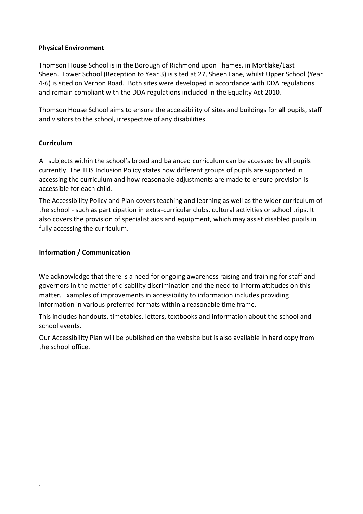## **Physical Environment**

Thomson House School is in the Borough of Richmond upon Thames, in Mortlake/East Sheen. Lower School (Reception to Year 3) is sited at 27, Sheen Lane, whilst Upper School (Year 4-6) is sited on Vernon Road. Both sites were developed in accordance with DDA regulations and remain compliant with the DDA regulations included in the Equality Act 2010.

Thomson House School aims to ensure the accessibility of sites and buildings for **all** pupils, staff and visitors to the school, irrespective of any disabilities.

## **Curriculum**

`

All subjects within the school's broad and balanced curriculum can be accessed by all pupils currently. The THS Inclusion Policy states how different groups of pupils are supported in accessing the curriculum and how reasonable adjustments are made to ensure provision is accessible for each child.

The Accessibility Policy and Plan covers teaching and learning as well as the wider curriculum of the school - such as participation in extra-curricular clubs, cultural activities or school trips. It also covers the provision of specialist aids and equipment, which may assist disabled pupils in fully accessing the curriculum.

## **Information / Communication**

We acknowledge that there is a need for ongoing awareness raising and training for staff and governors in the matter of disability discrimination and the need to inform attitudes on this matter. Examples of improvements in accessibility to information includes providing information in various preferred formats within a reasonable time frame.

This includes handouts, timetables, letters, textbooks and information about the school and school events.

Our Accessibility Plan will be published on the website but is also available in hard copy from the school office.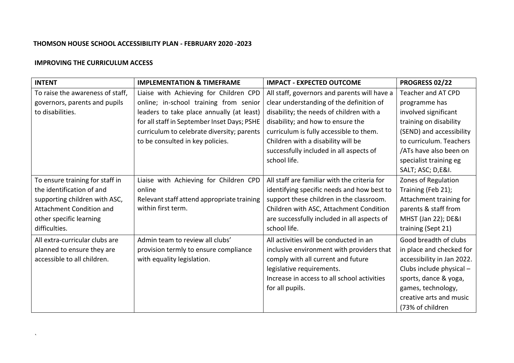#### **THOMSON HOUSE SCHOOL ACCESSIBILITY PLAN - FEBRUARY 2020 -2023**

## **IMPROVING THE CURRICULUM ACCESS**

 $\mathbf{v}$ 

| <b>INTENT</b>                    | <b>IMPLEMENTATION &amp; TIMEFRAME</b>       | <b>IMPACT - EXPECTED OUTCOME</b>             | PROGRESS 02/22             |
|----------------------------------|---------------------------------------------|----------------------------------------------|----------------------------|
| To raise the awareness of staff, | Liaise with Achieving for Children CPD      | All staff, governors and parents will have a | <b>Teacher and AT CPD</b>  |
| governors, parents and pupils    | online; in-school training from senior      | clear understanding of the definition of     | programme has              |
| to disabilities.                 | leaders to take place annually (at least)   | disability; the needs of children with a     | involved significant       |
|                                  | for all staff in September Inset Days; PSHE | disability; and how to ensure the            | training on disability     |
|                                  | curriculum to celebrate diversity; parents  | curriculum is fully accessible to them.      | (SEND) and accessibility   |
|                                  | to be consulted in key policies.            | Children with a disability will be           | to curriculum. Teachers    |
|                                  |                                             | successfully included in all aspects of      | /ATs have also been on     |
|                                  |                                             | school life.                                 | specialist training eg     |
|                                  |                                             |                                              | SALT; ASC; D,E&I.          |
| To ensure training for staff in  | Liaise with Achieving for Children CPD      | All staff are familiar with the criteria for | Zones of Regulation        |
| the identification of and        | online                                      | identifying specific needs and how best to   | Training (Feb 21);         |
| supporting children with ASC,    | Relevant staff attend appropriate training  | support these children in the classroom.     | Attachment training for    |
| <b>Attachment Condition and</b>  | within first term.                          | Children with ASC, Attachment Condition      | parents & staff from       |
| other specific learning          |                                             | are successfully included in all aspects of  | MHST (Jan 22); DE&I        |
| difficulties.                    |                                             | school life.                                 | training (Sept 21)         |
| All extra-curricular clubs are   | Admin team to review all clubs'             | All activities will be conducted in an       | Good breadth of clubs      |
| planned to ensure they are       | provision termly to ensure compliance       | inclusive environment with providers that    | in place and checked for   |
| accessible to all children.      | with equality legislation.                  | comply with all current and future           | accessibility in Jan 2022. |
|                                  |                                             | legislative requirements.                    | Clubs include physical -   |
|                                  |                                             | Increase in access to all school activities  | sports, dance & yoga,      |
|                                  |                                             | for all pupils.                              | games, technology,         |
|                                  |                                             |                                              | creative arts and music    |
|                                  |                                             |                                              | (73% of children           |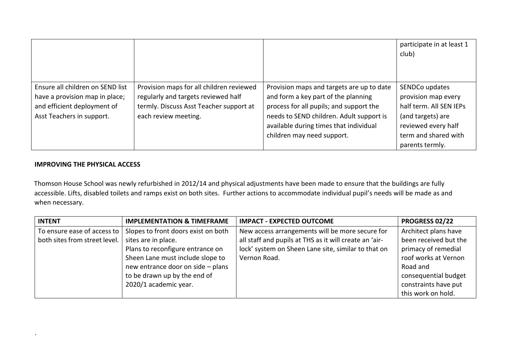|                                                                                                                                |                                                                                                                                                    |                                                                                                                                                                                                                                                 | participate in at least 1<br>club)                                                                                                                      |
|--------------------------------------------------------------------------------------------------------------------------------|----------------------------------------------------------------------------------------------------------------------------------------------------|-------------------------------------------------------------------------------------------------------------------------------------------------------------------------------------------------------------------------------------------------|---------------------------------------------------------------------------------------------------------------------------------------------------------|
| Ensure all children on SEND list<br>have a provision map in place;<br>and efficient deployment of<br>Asst Teachers in support. | Provision maps for all children reviewed<br>regularly and targets reviewed half<br>termly. Discuss Asst Teacher support at<br>each review meeting. | Provision maps and targets are up to date<br>and form a key part of the planning<br>process for all pupils; and support the<br>needs to SEND children. Adult support is<br>available during times that individual<br>children may need support. | SENDCo updates<br>provision map every<br>half term. All SEN IEPs<br>(and targets) are<br>reviewed every half<br>term and shared with<br>parents termly. |

## **IMPROVING THE PHYSICAL ACCESS**

 $\mathbf{v}$ 

Thomson House School was newly refurbished in 2012/14 and physical adjustments have been made to ensure that the buildings are fully accessible. Lifts, disabled toilets and ramps exist on both sites. Further actions to accommodate individual pupil's needs will be made as and when necessary.

| <b>INTENT</b>                 | <b>IMPLEMENTATION &amp; TIMEFRAME</b> | <b>IMPACT - EXPECTED OUTCOME</b>                       | <b>PROGRESS 02/22</b> |
|-------------------------------|---------------------------------------|--------------------------------------------------------|-----------------------|
| To ensure ease of access to   | Slopes to front doors exist on both   | New access arrangements will be more secure for        | Architect plans have  |
| both sites from street level. | sites are in place.                   | all staff and pupils at THS as it will create an 'air- | been received but the |
|                               | Plans to reconfigure entrance on      | lock' system on Sheen Lane site, similar to that on    | primacy of remedial   |
|                               | Sheen Lane must include slope to      | Vernon Road.                                           | roof works at Vernon  |
|                               | new entrance door on side - plans     |                                                        | Road and              |
|                               | to be drawn up by the end of          |                                                        | consequential budget  |
|                               | 2020/1 academic year.                 |                                                        | constraints have put  |
|                               |                                       |                                                        | this work on hold.    |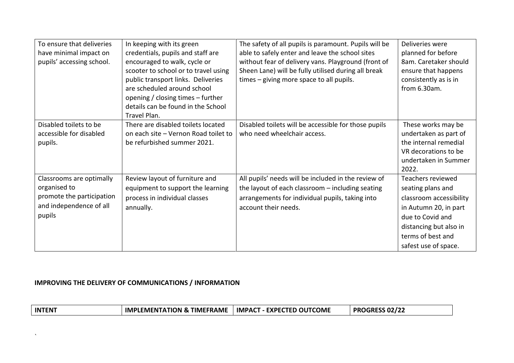| To ensure that deliveries | In keeping with its green            | The safety of all pupils is paramount. Pupils will be | Deliveries were         |
|---------------------------|--------------------------------------|-------------------------------------------------------|-------------------------|
| have minimal impact on    | credentials, pupils and staff are    | able to safely enter and leave the school sites       | planned for before      |
| pupils' accessing school. | encouraged to walk, cycle or         | without fear of delivery vans. Playground (front of   | 8am. Caretaker should   |
|                           | scooter to school or to travel using | Sheen Lane) will be fully utilised during all break   | ensure that happens     |
|                           | public transport links. Deliveries   | times – giving more space to all pupils.              | consistently as is in   |
|                           | are scheduled around school          |                                                       | from $6.30$ am.         |
|                           | opening / closing times – further    |                                                       |                         |
|                           | details can be found in the School   |                                                       |                         |
|                           | Travel Plan.                         |                                                       |                         |
| Disabled toilets to be    | There are disabled toilets located   | Disabled toilets will be accessible for those pupils  | These works may be      |
| accessible for disabled   | on each site - Vernon Road toilet to | who need wheelchair access.                           | undertaken as part of   |
| pupils.                   | be refurbished summer 2021.          |                                                       | the internal remedial   |
|                           |                                      |                                                       | VR decorations to be    |
|                           |                                      |                                                       | undertaken in Summer    |
|                           |                                      |                                                       | 2022.                   |
| Classrooms are optimally  | Review layout of furniture and       | All pupils' needs will be included in the review of   | Teachers reviewed       |
| organised to              | equipment to support the learning    | the layout of each classroom - including seating      | seating plans and       |
| promote the participation | process in individual classes        | arrangements for individual pupils, taking into       | classroom accessibility |
| and independence of all   | annually.                            | account their needs.                                  | in Autumn 20, in part   |
| pupils                    |                                      |                                                       | due to Covid and        |
|                           |                                      |                                                       | distancing but also in  |
|                           |                                      |                                                       | terms of best and       |
|                           |                                      |                                                       | safest use of space.    |

## **IMPROVING THE DELIVERY OF COMMUNICATIONS / INFORMATION**

 $\mathbf{v}$ 

| <b>INTENT</b> | <b>IMPLEMENTATION &amp; TIMEFRAME</b> | <b>IMPACT - EXPECTED OUTCOME</b> | PROGRESS 02/22 |
|---------------|---------------------------------------|----------------------------------|----------------|